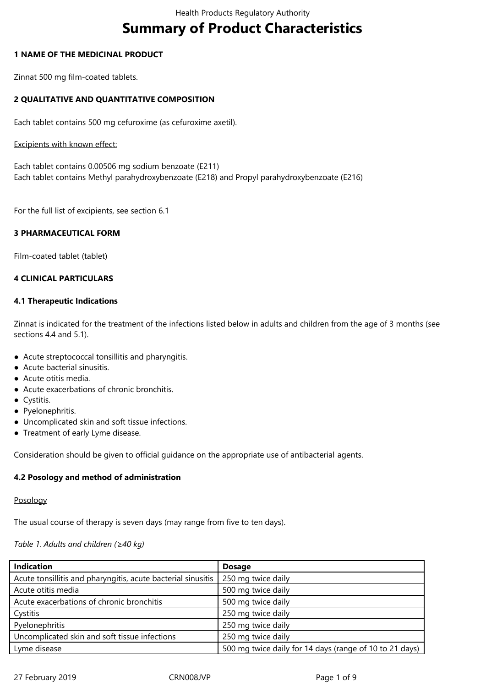# **Summary of Product Characteristics**

#### **1 NAME OF THE MEDICINAL PRODUCT**

Zinnat 500 mg film-coated tablets.

## **2 QUALITATIVE AND QUANTITATIVE COMPOSITION**

Each tablet contains 500 mg cefuroxime (as cefuroxime axetil).

#### Excipients with known effect:

Each tablet contains 0.00506 mg sodium benzoate (E211) Each tablet contains Methyl parahydroxybenzoate (E218) and Propyl parahydroxybenzoate (E216)

For the full list of excipients, see section 6.1

## **3 PHARMACEUTICAL FORM**

Film-coated tablet (tablet)

## **4 CLINICAL PARTICULARS**

#### **4.1 Therapeutic Indications**

Zinnat is indicated for the treatment of the infections listed below in adults and children from the age of 3 months (see sections 4.4 and 5.1).

- Acute streptococcal tonsillitis and pharyngitis.
- Acute bacterial sinusitis.
- Acute otitis media.
- Acute exacerbations of chronic bronchitis.
- Cystitis.
- Pyelonephritis.
- Uncomplicated skin and soft tissue infections.
- Treatment of early Lyme disease.

Consideration should be given to official guidance on the appropriate use of antibacterial agents.

## **4.2 Posology and method of administration**

Posology

The usual course of therapy is seven days (may range from five to ten days).

#### *Table 1. Adults and children (≥40 kg)*

| <b>Indication</b>                                            | <b>Dosage</b>                                           |
|--------------------------------------------------------------|---------------------------------------------------------|
| Acute tonsillitis and pharyngitis, acute bacterial sinusitis | 250 mg twice daily                                      |
| Acute otitis media                                           | 500 mg twice daily                                      |
| Acute exacerbations of chronic bronchitis                    | 500 mg twice daily                                      |
| Cystitis                                                     | 250 mg twice daily                                      |
| Pyelonephritis                                               | 250 mg twice daily                                      |
| Uncomplicated skin and soft tissue infections                | 250 mg twice daily                                      |
| Lyme disease                                                 | 500 mg twice daily for 14 days (range of 10 to 21 days) |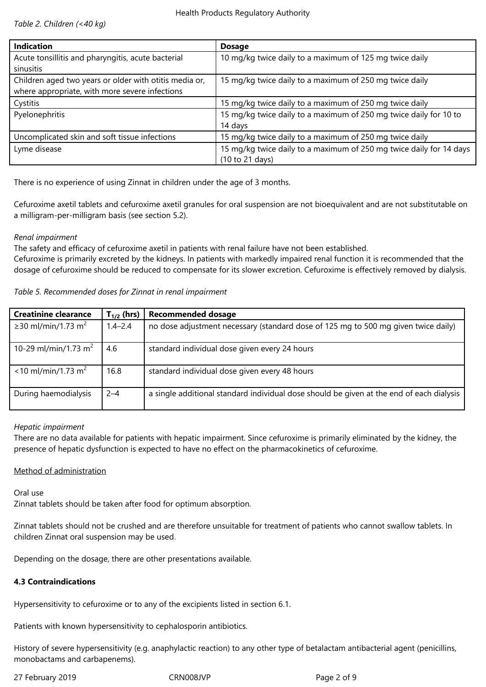*Table 2. Children (<40 kg)*

| <b>Indication</b>                                                                                        | <b>Dosage</b>                                                                          |
|----------------------------------------------------------------------------------------------------------|----------------------------------------------------------------------------------------|
| Acute tonsillitis and pharyngitis, acute bacterial<br>sinusitis                                          | 10 mg/kg twice daily to a maximum of 125 mg twice daily                                |
| Children aged two years or older with otitis media or,<br>where appropriate, with more severe infections | 15 mg/kg twice daily to a maximum of 250 mg twice daily                                |
| Cystitis                                                                                                 | 15 mg/kg twice daily to a maximum of 250 mg twice daily                                |
| Pyelonephritis                                                                                           | 15 mg/kg twice daily to a maximum of 250 mg twice daily for 10 to<br>14 days           |
| Uncomplicated skin and soft tissue infections                                                            | 15 mg/kg twice daily to a maximum of 250 mg twice daily                                |
| Lyme disease                                                                                             | 15 mg/kg twice daily to a maximum of 250 mg twice daily for 14 days<br>(10 to 21 days) |

There is no experience of using Zinnat in children under the age of 3 months.

Cefuroxime axetil tablets and cefuroxime axetil granules for oral suspension are not bioequivalent and are not substitutable on a milligram-per-milligram basis (see section 5.2).

#### *Renal impairment*

The safety and efficacy of cefuroxime axetil in patients with renal failure have not been established.

Cefuroxime is primarily excreted by the kidneys. In patients with markedly impaired renal function it is recommended that the dosage of cefuroxime should be reduced to compensate for its slower excretion. Cefuroxime is effectively removed by dialysis.

*Table 5. Recommended doses for Zinnat in renal impairment*

| <b>Creatinine clearance</b>       | $T_{1/2}$ (hrs) | <b>Recommended dosage</b>                                                                |
|-----------------------------------|-----------------|------------------------------------------------------------------------------------------|
| ≥30 ml/min/1.73 m <sup>2</sup>    | $1.4 - 2.4$     | no dose adjustment necessary (standard dose of 125 mg to 500 mg given twice daily)       |
| 10-29 ml/min/1.73 m <sup>2</sup>  | 4.6             | standard individual dose given every 24 hours                                            |
| $<$ 10 ml/min/1.73 m <sup>2</sup> | 16.8            | standard individual dose given every 48 hours                                            |
| During haemodialysis              | $2 - 4$         | a single additional standard individual dose should be given at the end of each dialysis |

#### *Hepatic impairment*

There are no data available for patients with hepatic impairment. Since cefuroxime is primarily eliminated by the kidney, the presence of hepatic dysfunction is expected to have no effect on the pharmacokinetics of cefuroxime.

#### Method of administration

Oral use

Zinnat tablets should be taken after food for optimum absorption.

Zinnat tablets should not be crushed and are therefore unsuitable for treatment of patients who cannot swallow tablets. In children Zinnat oral suspension may be used.

Depending on the dosage, there are other presentations available.

## **4.3 Contraindications**

Hypersensitivity to cefuroxime or to any of the excipients listed in section 6.1.

Patients with known hypersensitivity to cephalosporin antibiotics.

History of severe hypersensitivity (e.g. anaphylactic reaction) to any other type of betalactam antibacterial agent (penicillins, monobactams and carbapenems).

27 February 2019 CRN008JVP Page 2 of 9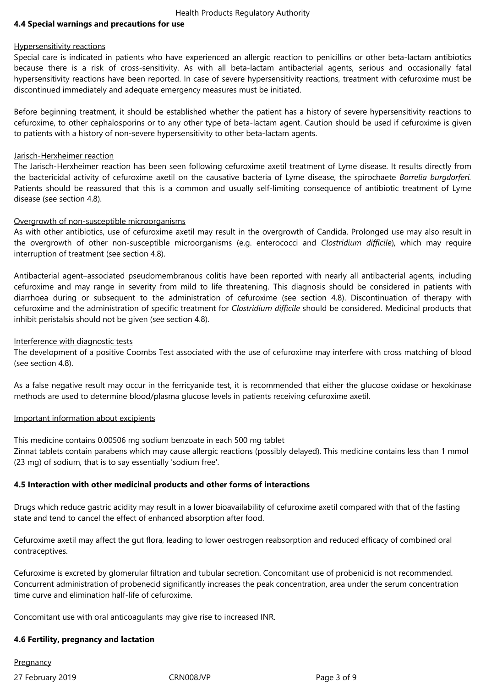#### **4.4 Special warnings and precautions for use**

#### Hypersensitivity reactions

Special care is indicated in patients who have experienced an allergic reaction to penicillins or other beta-lactam antibiotics because there is a risk of cross-sensitivity. As with all beta-lactam antibacterial agents, serious and occasionally fatal hypersensitivity reactions have been reported. In case of severe hypersensitivity reactions, treatment with cefuroxime must be discontinued immediately and adequate emergency measures must be initiated.

Before beginning treatment, it should be established whether the patient has a history of severe hypersensitivity reactions to cefuroxime, to other cephalosporins or to any other type of beta-lactam agent. Caution should be used if cefuroxime is given to patients with a history of non-severe hypersensitivity to other beta-lactam agents.

#### Jarisch-Herxheimer reaction

The Jarisch-Herxheimer reaction has been seen following cefuroxime axetil treatment of Lyme disease. It results directly from the bactericidal activity of cefuroxime axetil on the causative bacteria of Lyme disease, the spirochaete *Borrelia burgdorferi.* Patients should be reassured that this is a common and usually self-limiting consequence of antibiotic treatment of Lyme disease (see section 4.8).

#### Overgrowth of non-susceptible microorganisms

As with other antibiotics, use of cefuroxime axetil may result in the overgrowth of Candida. Prolonged use may also result in the overgrowth of other non-susceptible microorganisms (e.g. enterococci and *Clostridium difficile*), which may require interruption of treatment (see section 4.8).

Antibacterial agent–associated pseudomembranous colitis have been reported with nearly all antibacterial agents, including cefuroxime and may range in severity from mild to life threatening. This diagnosis should be considered in patients with diarrhoea during or subsequent to the administration of cefuroxime (see section 4.8). Discontinuation of therapy with cefuroxime and the administration of specific treatment for *Clostridium difficile* should be considered. Medicinal products that inhibit peristalsis should not be given (see section 4.8).

#### Interference with diagnostic tests

The development of a positive Coombs Test associated with the use of cefuroxime may interfere with cross matching of blood (see section 4.8).

As a false negative result may occur in the ferricyanide test, it is recommended that either the glucose oxidase or hexokinase methods are used to determine blood/plasma glucose levels in patients receiving cefuroxime axetil.

#### Important information about excipients

This medicine contains 0.00506 mg sodium benzoate in each 500 mg tablet

Zinnat tablets contain parabens which may cause allergic reactions (possibly delayed). This medicine contains less than 1 mmol (23 mg) of sodium, that is to say essentially 'sodium free'.

## **4.5 Interaction with other medicinal products and other forms of interactions**

Drugs which reduce gastric acidity may result in a lower bioavailability of cefuroxime axetil compared with that of the fasting state and tend to cancel the effect of enhanced absorption after food.

Cefuroxime axetil may affect the gut flora, leading to lower oestrogen reabsorption and reduced efficacy of combined oral contraceptives.

Cefuroxime is excreted by glomerular filtration and tubular secretion. Concomitant use of probenicid is not recommended. Concurrent administration of probenecid significantly increases the peak concentration, area under the serum concentration time curve and elimination half-life of cefuroxime.

Concomitant use with oral anticoagulants may give rise to increased INR.

#### **4.6 Fertility, pregnancy and lactation**

**Pregnancy** 

27 February 2019 **CRNOO8JVP** CRNOO8JVP Page 3 of 9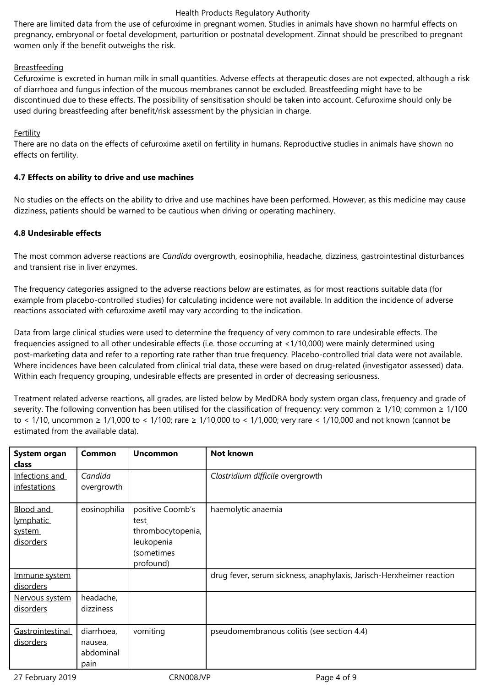There are limited data from the use of cefuroxime in pregnant women. Studies in animals have shown no harmful effects on pregnancy, embryonal or foetal development, parturition or postnatal development. Zinnat should be prescribed to pregnant women only if the benefit outweighs the risk.

## Breastfeeding

Cefuroxime is excreted in human milk in small quantities. Adverse effects at therapeutic doses are not expected, although a risk of diarrhoea and fungus infection of the mucous membranes cannot be excluded. Breastfeeding might have to be discontinued due to these effects. The possibility of sensitisation should be taken into account. Cefuroxime should only be used during breastfeeding after benefit/risk assessment by the physician in charge.

## Fertility

There are no data on the effects of cefuroxime axetil on fertility in humans. Reproductive studies in animals have shown no effects on fertility.

## **4.7 Effects on ability to drive and use machines**

No studies on the effects on the ability to drive and use machines have been performed. However, as this medicine may cause dizziness, patients should be warned to be cautious when driving or operating machinery.

## **4.8 Undesirable effects**

The most common adverse reactions are *Candida* overgrowth, eosinophilia, headache, dizziness, gastrointestinal disturbances and transient rise in liver enzymes.

The frequency categories assigned to the adverse reactions below are estimates, as for most reactions suitable data (for example from placebo-controlled studies) for calculating incidence were not available. In addition the incidence of adverse reactions associated with cefuroxime axetil may vary according to the indication.

Data from large clinical studies were used to determine the frequency of very common to rare undesirable effects. The frequencies assigned to all other undesirable effects (i.e. those occurring at <1/10,000) were mainly determined using post-marketing data and refer to a reporting rate rather than true frequency. Placebo-controlled trial data were not available. Where incidences have been calculated from clinical trial data, these were based on drug-related (investigator assessed) data. Within each frequency grouping, undesirable effects are presented in order of decreasing seriousness.

Treatment related adverse reactions, all grades, are listed below by MedDRA body system organ class, frequency and grade of severity. The following convention has been utilised for the classification of frequency: very common  $\geq 1/10$ ; common  $\geq 1/100$ to < 1/10, uncommon ≥ 1/1,000 to < 1/100; rare ≥ 1/10,000 to < 1/1,000; very rare < 1/10,000 and not known (cannot be estimated from the available data).

| System organ<br><b>class</b>                  | <b>Common</b>                              | <b>Uncommon</b>                                                                        | <b>Not known</b>                                                     |
|-----------------------------------------------|--------------------------------------------|----------------------------------------------------------------------------------------|----------------------------------------------------------------------|
| Infections and<br>infestations                | Candida<br>overgrowth                      |                                                                                        | Clostridium difficile overgrowth                                     |
| Blood and<br>lymphatic<br>system<br>disorders | eosinophilia                               | positive Coomb's<br>test<br>thrombocytopenia,<br>leukopenia<br>(sometimes<br>profound) | haemolytic anaemia                                                   |
| Immune system<br>disorders                    |                                            |                                                                                        | drug fever, serum sickness, anaphylaxis, Jarisch-Herxheimer reaction |
| Nervous system<br>disorders                   | headache,<br>dizziness                     |                                                                                        |                                                                      |
| Gastrointestinal<br>disorders                 | diarrhoea,<br>nausea,<br>abdominal<br>pain | vomiting                                                                               | pseudomembranous colitis (see section 4.4)                           |

27 February 2019 **CRNOO8JVP** CRNOO8JVP Page 4 of 9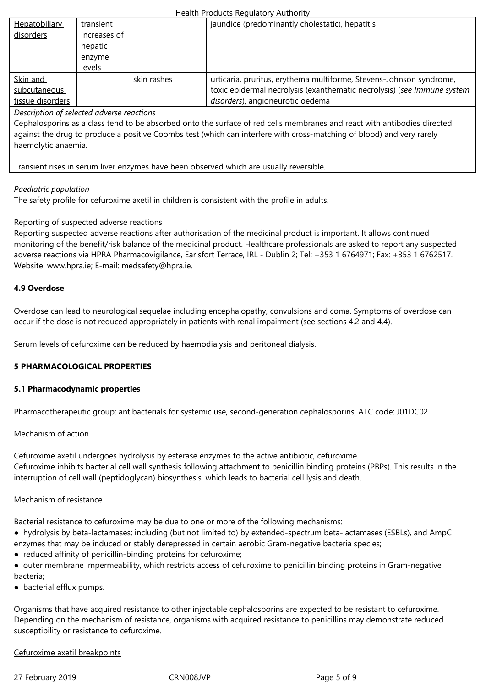|                  | hepatic |             |                                                                         |
|------------------|---------|-------------|-------------------------------------------------------------------------|
|                  | enzyme  |             |                                                                         |
|                  | levels  |             |                                                                         |
| Skin and         |         | skin rashes | urticaria, pruritus, erythema multiforme, Stevens-Johnson syndrome,     |
| subcutaneous     |         |             | toxic epidermal necrolysis (exanthematic necrolysis) (see Immune system |
| tissue disorders |         |             | disorders), angioneurotic oedema                                        |

*Description of selected adverse reactions*

Cephalosporins as a class tend to be absorbed onto the surface of red cells membranes and react with antibodies directed against the drug to produce a positive Coombs test (which can interfere with cross-matching of blood) and very rarely haemolytic anaemia.

Transient rises in serum liver enzymes have been observed which are usually reversible.

#### *Paediatric population*

The safety profile for cefuroxime axetil in children is consistent with the profile in adults.

#### Reporting of suspected adverse reactions

Reporting suspected adverse reactions after authorisation of the medicinal product is important. It allows continued monitoring of the benefit/risk balance of the medicinal product. Healthcare professionals are asked to report any suspected adverse reactions via HPRA Pharmacovigilance, Earlsfort Terrace, IRL - Dublin 2; Tel: +353 1 6764971; Fax: +353 1 6762517. Website: www.hpra.ie; E-mail: medsafety@hpra.ie.

#### **4.9 Overdose**

Overdos[e can lead to](http://www.hpra.ie/) neurolo[gical sequelae includ](mailto:medsafety@hpra.ie)ing encephalopathy, convulsions and coma. Symptoms of overdose can occur if the dose is not reduced appropriately in patients with renal impairment (see sections 4.2 and 4.4).

Serum levels of cefuroxime can be reduced by haemodialysis and peritoneal dialysis.

## **5 PHARMACOLOGICAL PROPERTIES**

#### **5.1 Pharmacodynamic properties**

Pharmacotherapeutic group: antibacterials for systemic use, second-generation cephalosporins, ATC code: J01DC02

#### Mechanism of action

Cefuroxime axetil undergoes hydrolysis by esterase enzymes to the active antibiotic, cefuroxime. Cefuroxime inhibits bacterial cell wall synthesis following attachment to penicillin binding proteins (PBPs). This results in the interruption of cell wall (peptidoglycan) biosynthesis, which leads to bacterial cell lysis and death.

#### Mechanism of resistance

Bacterial resistance to cefuroxime may be due to one or more of the following mechanisms:

- hydrolysis by beta-lactamases; including (but not limited to) by extended-spectrum beta-lactamases (ESBLs), and AmpC enzymes that may be induced or stably derepressed in certain aerobic Gram-negative bacteria species;
- reduced affinity of penicillin-binding proteins for cefuroxime;
- outer membrane impermeability, which restricts access of cefuroxime to penicillin binding proteins in Gram-negative bacteria;
- bacterial efflux pumps.

Organisms that have acquired resistance to other injectable cephalosporins are expected to be resistant to cefuroxime. Depending on the mechanism of resistance, organisms with acquired resistance to penicillins may demonstrate reduced susceptibility or resistance to cefuroxime.

## Cefuroxime axetil breakpoints

27 February 2019 **CRNOO8JVP Page 5 of 9**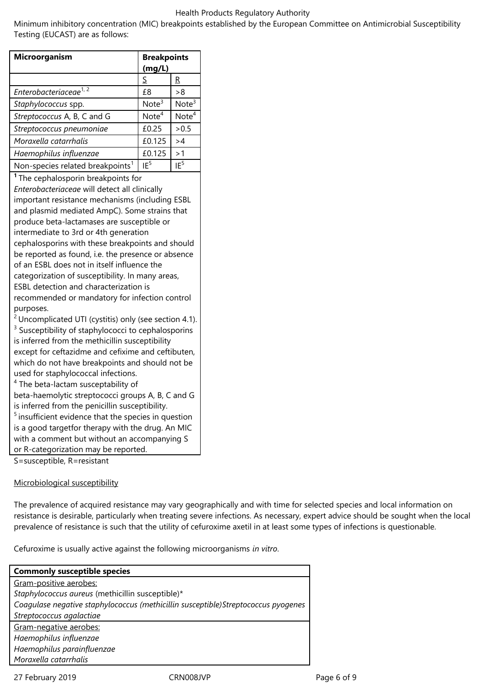Minimum inhibitory concentration (MIC) breakpoints established by the European Committee on Antimicrobial Susceptibility Testing (EUCAST) are as follows:

| <b>Microorganism</b>                                                                                                                                                                                                                                                                                                                                                                                                                                                                                                                                                                                                                                                                                                                                                                                                                                                                                                                                                                                                                                                                                                                                                                                                                                                                                                                                      | <b>Breakpoints</b><br>(mg/L) |                   |
|-----------------------------------------------------------------------------------------------------------------------------------------------------------------------------------------------------------------------------------------------------------------------------------------------------------------------------------------------------------------------------------------------------------------------------------------------------------------------------------------------------------------------------------------------------------------------------------------------------------------------------------------------------------------------------------------------------------------------------------------------------------------------------------------------------------------------------------------------------------------------------------------------------------------------------------------------------------------------------------------------------------------------------------------------------------------------------------------------------------------------------------------------------------------------------------------------------------------------------------------------------------------------------------------------------------------------------------------------------------|------------------------------|-------------------|
|                                                                                                                                                                                                                                                                                                                                                                                                                                                                                                                                                                                                                                                                                                                                                                                                                                                                                                                                                                                                                                                                                                                                                                                                                                                                                                                                                           | S                            | R                 |
| Enterobacteriaceae <sup>1,2</sup>                                                                                                                                                                                                                                                                                                                                                                                                                                                                                                                                                                                                                                                                                                                                                                                                                                                                                                                                                                                                                                                                                                                                                                                                                                                                                                                         | £8                           | > 8               |
| Staphylococcus spp.                                                                                                                                                                                                                                                                                                                                                                                                                                                                                                                                                                                                                                                                                                                                                                                                                                                                                                                                                                                                                                                                                                                                                                                                                                                                                                                                       | Note <sup>3</sup>            | Note <sup>3</sup> |
| Streptococcus A, B, C and G                                                                                                                                                                                                                                                                                                                                                                                                                                                                                                                                                                                                                                                                                                                                                                                                                                                                                                                                                                                                                                                                                                                                                                                                                                                                                                                               | Note <sup>4</sup>            | Note <sup>4</sup> |
| Streptococcus pneumoniae                                                                                                                                                                                                                                                                                                                                                                                                                                                                                                                                                                                                                                                                                                                                                                                                                                                                                                                                                                                                                                                                                                                                                                                                                                                                                                                                  | £0.25                        | > 0.5             |
| Moraxella catarrhalis                                                                                                                                                                                                                                                                                                                                                                                                                                                                                                                                                                                                                                                                                                                                                                                                                                                                                                                                                                                                                                                                                                                                                                                                                                                                                                                                     | £0.125                       | >4                |
| Haemophilus influenzae                                                                                                                                                                                                                                                                                                                                                                                                                                                                                                                                                                                                                                                                                                                                                                                                                                                                                                                                                                                                                                                                                                                                                                                                                                                                                                                                    | £0.125                       | >1                |
| Non-species related breakpoints <sup>1</sup>                                                                                                                                                                                                                                                                                                                                                                                                                                                                                                                                                                                                                                                                                                                                                                                                                                                                                                                                                                                                                                                                                                                                                                                                                                                                                                              | IF <sup>5</sup>              | IF <sup>5</sup>   |
| <sup>1</sup> The cephalosporin breakpoints for<br>Enterobacteriaceae will detect all clinically<br>important resistance mechanisms (including ESBL<br>and plasmid mediated AmpC). Some strains that<br>produce beta-lactamases are susceptible or<br>intermediate to 3rd or 4th generation<br>cephalosporins with these breakpoints and should<br>be reported as found, i.e. the presence or absence<br>of an ESBL does not in itself influence the<br>categorization of susceptibility. In many areas,<br>ESBL detection and characterization is<br>recommended or mandatory for infection control<br>purposes.<br>$2$ Uncomplicated UTI (cystitis) only (see section 4.1).<br><sup>3</sup> Susceptibility of staphylococci to cephalosporins<br>is inferred from the methicillin susceptibility<br>except for ceftazidme and cefixime and ceftibuten,<br>which do not have breakpoints and should not be<br>used for staphylococcal infections.<br><sup>4</sup> The beta-lactam susceptability of<br>beta-haemolytic streptococci groups A, B, C and G<br>is inferred from the penicillin susceptibility.<br><sup>5</sup> insufficient evidence that the species in question<br>is a good targetfor therapy with the drug. An MIC<br>with a comment but without an accompanying S<br>or R-categorization may be reported.<br>S=susceptible, R=resistant |                              |                   |

## Microbiological susceptibility

The prevalence of acquired resistance may vary geographically and with time for selected species and local information on resistance is desirable, particularly when treating severe infections. As necessary, expert advice should be sought when the local prevalence of resistance is such that the utility of cefuroxime axetil in at least some types of infections is questionable.

Cefuroxime is usually active against the following microorganisms *in vitro*.

| <b>Commonly susceptible species</b>                                               |
|-----------------------------------------------------------------------------------|
| Gram-positive aerobes:                                                            |
| Staphylococcus aureus (methicillin susceptible)*                                  |
| Coagulase negative staphylococcus (methicillin susceptible)Streptococcus pyogenes |
| Streptococcus agalactiae                                                          |
| Gram-negative aerobes:                                                            |
| Haemophilus influenzae                                                            |
| Haemophilus parainfluenzae                                                        |
| Moraxella catarrhalis                                                             |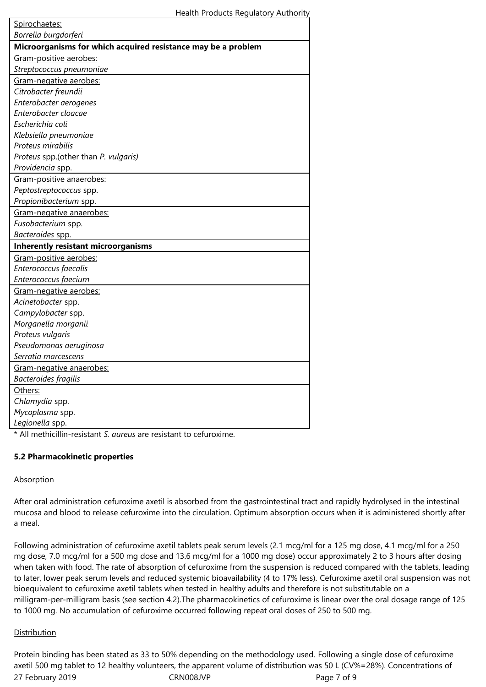| Microorganisms for which acquired resistance may be a problem<br>Gram-positive aerobes:<br>Streptococcus pneumoniae<br>Gram-negative aerobes:<br>Citrobacter freundii<br>Enterobacter aerogenes<br>Enterobacter cloacae<br>Escherichia coli<br>Klebsiella pneumoniae<br>Proteus mirabilis<br>Proteus spp.(other than P. vulgaris)<br>Providencia spp.<br>Gram-positive anaerobes:<br>Peptostreptococcus spp.<br>Propionibacterium spp.<br>Gram-negative anaerobes:<br>Fusobacterium spp.<br>Bacteroides spp.<br><b>Inherently resistant microorganisms</b><br>Gram-positive aerobes:<br>Enterococcus faecalis<br>Enterococcus faecium<br>Gram-negative aerobes:<br>Acinetobacter spp.<br>Campylobacter spp.<br>Morganella morganii<br>Proteus vulgaris<br>Pseudomonas aeruginosa<br>Serratia marcescens<br>Gram-negative anaerobes:<br><b>Bacteroides fragilis</b><br>Others: | Spirochaetes:        |  |  |
|-------------------------------------------------------------------------------------------------------------------------------------------------------------------------------------------------------------------------------------------------------------------------------------------------------------------------------------------------------------------------------------------------------------------------------------------------------------------------------------------------------------------------------------------------------------------------------------------------------------------------------------------------------------------------------------------------------------------------------------------------------------------------------------------------------------------------------------------------------------------------------|----------------------|--|--|
|                                                                                                                                                                                                                                                                                                                                                                                                                                                                                                                                                                                                                                                                                                                                                                                                                                                                               | Borrelia burgdorferi |  |  |
|                                                                                                                                                                                                                                                                                                                                                                                                                                                                                                                                                                                                                                                                                                                                                                                                                                                                               |                      |  |  |
|                                                                                                                                                                                                                                                                                                                                                                                                                                                                                                                                                                                                                                                                                                                                                                                                                                                                               |                      |  |  |
|                                                                                                                                                                                                                                                                                                                                                                                                                                                                                                                                                                                                                                                                                                                                                                                                                                                                               |                      |  |  |
|                                                                                                                                                                                                                                                                                                                                                                                                                                                                                                                                                                                                                                                                                                                                                                                                                                                                               |                      |  |  |
|                                                                                                                                                                                                                                                                                                                                                                                                                                                                                                                                                                                                                                                                                                                                                                                                                                                                               |                      |  |  |
|                                                                                                                                                                                                                                                                                                                                                                                                                                                                                                                                                                                                                                                                                                                                                                                                                                                                               |                      |  |  |
|                                                                                                                                                                                                                                                                                                                                                                                                                                                                                                                                                                                                                                                                                                                                                                                                                                                                               |                      |  |  |
|                                                                                                                                                                                                                                                                                                                                                                                                                                                                                                                                                                                                                                                                                                                                                                                                                                                                               |                      |  |  |
|                                                                                                                                                                                                                                                                                                                                                                                                                                                                                                                                                                                                                                                                                                                                                                                                                                                                               |                      |  |  |
|                                                                                                                                                                                                                                                                                                                                                                                                                                                                                                                                                                                                                                                                                                                                                                                                                                                                               |                      |  |  |
|                                                                                                                                                                                                                                                                                                                                                                                                                                                                                                                                                                                                                                                                                                                                                                                                                                                                               |                      |  |  |
|                                                                                                                                                                                                                                                                                                                                                                                                                                                                                                                                                                                                                                                                                                                                                                                                                                                                               |                      |  |  |
|                                                                                                                                                                                                                                                                                                                                                                                                                                                                                                                                                                                                                                                                                                                                                                                                                                                                               |                      |  |  |
|                                                                                                                                                                                                                                                                                                                                                                                                                                                                                                                                                                                                                                                                                                                                                                                                                                                                               |                      |  |  |
|                                                                                                                                                                                                                                                                                                                                                                                                                                                                                                                                                                                                                                                                                                                                                                                                                                                                               |                      |  |  |
|                                                                                                                                                                                                                                                                                                                                                                                                                                                                                                                                                                                                                                                                                                                                                                                                                                                                               |                      |  |  |
|                                                                                                                                                                                                                                                                                                                                                                                                                                                                                                                                                                                                                                                                                                                                                                                                                                                                               |                      |  |  |
|                                                                                                                                                                                                                                                                                                                                                                                                                                                                                                                                                                                                                                                                                                                                                                                                                                                                               |                      |  |  |
|                                                                                                                                                                                                                                                                                                                                                                                                                                                                                                                                                                                                                                                                                                                                                                                                                                                                               |                      |  |  |
|                                                                                                                                                                                                                                                                                                                                                                                                                                                                                                                                                                                                                                                                                                                                                                                                                                                                               |                      |  |  |
|                                                                                                                                                                                                                                                                                                                                                                                                                                                                                                                                                                                                                                                                                                                                                                                                                                                                               |                      |  |  |
|                                                                                                                                                                                                                                                                                                                                                                                                                                                                                                                                                                                                                                                                                                                                                                                                                                                                               |                      |  |  |
|                                                                                                                                                                                                                                                                                                                                                                                                                                                                                                                                                                                                                                                                                                                                                                                                                                                                               |                      |  |  |
|                                                                                                                                                                                                                                                                                                                                                                                                                                                                                                                                                                                                                                                                                                                                                                                                                                                                               |                      |  |  |
|                                                                                                                                                                                                                                                                                                                                                                                                                                                                                                                                                                                                                                                                                                                                                                                                                                                                               |                      |  |  |
|                                                                                                                                                                                                                                                                                                                                                                                                                                                                                                                                                                                                                                                                                                                                                                                                                                                                               |                      |  |  |
|                                                                                                                                                                                                                                                                                                                                                                                                                                                                                                                                                                                                                                                                                                                                                                                                                                                                               |                      |  |  |
|                                                                                                                                                                                                                                                                                                                                                                                                                                                                                                                                                                                                                                                                                                                                                                                                                                                                               |                      |  |  |
|                                                                                                                                                                                                                                                                                                                                                                                                                                                                                                                                                                                                                                                                                                                                                                                                                                                                               |                      |  |  |
|                                                                                                                                                                                                                                                                                                                                                                                                                                                                                                                                                                                                                                                                                                                                                                                                                                                                               |                      |  |  |
|                                                                                                                                                                                                                                                                                                                                                                                                                                                                                                                                                                                                                                                                                                                                                                                                                                                                               |                      |  |  |
|                                                                                                                                                                                                                                                                                                                                                                                                                                                                                                                                                                                                                                                                                                                                                                                                                                                                               |                      |  |  |
|                                                                                                                                                                                                                                                                                                                                                                                                                                                                                                                                                                                                                                                                                                                                                                                                                                                                               | Chlamydia spp.       |  |  |
| Mycoplasma spp.                                                                                                                                                                                                                                                                                                                                                                                                                                                                                                                                                                                                                                                                                                                                                                                                                                                               |                      |  |  |
| Legionella spp.                                                                                                                                                                                                                                                                                                                                                                                                                                                                                                                                                                                                                                                                                                                                                                                                                                                               |                      |  |  |

\* All methicillin-resistant *S. aureus* are resistant to cefuroxime.

## **5.2 Pharmacokinetic properties**

#### Absorption

After oral administration cefuroxime axetil is absorbed from the gastrointestinal tract and rapidly hydrolysed in the intestinal mucosa and blood to release cefuroxime into the circulation. Optimum absorption occurs when it is administered shortly after a meal.

Following administration of cefuroxime axetil tablets peak serum levels (2.1 mcg/ml for a 125 mg dose, 4.1 mcg/ml for a 250 mg dose, 7.0 mcg/ml for a 500 mg dose and 13.6 mcg/ml for a 1000 mg dose) occur approximately 2 to 3 hours after dosing when taken with food. The rate of absorption of cefuroxime from the suspension is reduced compared with the tablets, leading to later, lower peak serum levels and reduced systemic bioavailability (4 to 17% less). Cefuroxime axetil oral suspension was not bioequivalent to cefuroxime axetil tablets when tested in healthy adults and therefore is not substitutable on a milligram-per-milligram basis (see section 4.2).The pharmacokinetics of cefuroxime is linear over the oral dosage range of 125 to 1000 mg. No accumulation of cefuroxime occurred following repeat oral doses of 250 to 500 mg.

## **Distribution**

27 February 2019 **CRNOO8JVP** CRNOO8JVP Page 7 of 9 Protein binding has been stated as 33 to 50% depending on the methodology used. Following a single dose of cefuroxime axetil 500 mg tablet to 12 healthy volunteers, the apparent volume of distribution was 50 L (CV%=28%). Concentrations of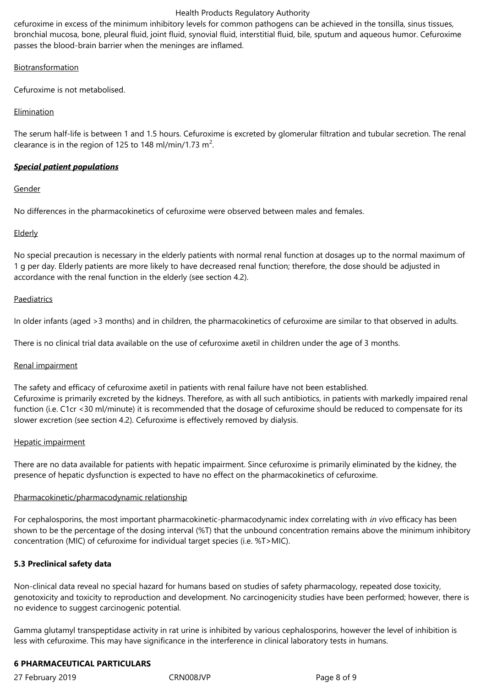cefuroxime in excess of the minimum inhibitory levels for common pathogens can be achieved in the tonsilla, sinus tissues, bronchial mucosa, bone, pleural fluid, joint fluid, synovial fluid, interstitial fluid, bile, sputum and aqueous humor. Cefuroxime passes the blood-brain barrier when the meninges are inflamed.

Biotransformation

Cefuroxime is not metabolised.

## **Elimination**

The serum half-life is between 1 and 1.5 hours. Cefuroxime is excreted by glomerular filtration and tubular secretion. The renal clearance is in the region of 125 to 148 ml/min/1.73 m<sup>2</sup>.

## *Special patient populations*

#### **Gender**

No differences in the pharmacokinetics of cefuroxime were observed between males and females.

## **Elderly**

No special precaution is necessary in the elderly patients with normal renal function at dosages up to the normal maximum of 1 g per day. Elderly patients are more likely to have decreased renal function; therefore, the dose should be adjusted in accordance with the renal function in the elderly (see section 4.2).

#### **Paediatrics**

In older infants (aged >3 months) and in children, the pharmacokinetics of cefuroxime are similar to that observed in adults.

There is no clinical trial data available on the use of cefuroxime axetil in children under the age of 3 months.

#### Renal impairment

The safety and efficacy of cefuroxime axetil in patients with renal failure have not been established. Cefuroxime is primarily excreted by the kidneys. Therefore, as with all such antibiotics, in patients with markedly impaired renal function (i.e. C1cr <30 ml/minute) it is recommended that the dosage of cefuroxime should be reduced to compensate for its slower excretion (see section 4.2). Cefuroxime is effectively removed by dialysis.

#### Hepatic impairment

There are no data available for patients with hepatic impairment. Since cefuroxime is primarily eliminated by the kidney, the presence of hepatic dysfunction is expected to have no effect on the pharmacokinetics of cefuroxime.

#### Pharmacokinetic/pharmacodynamic relationship

For cephalosporins, the most important pharmacokinetic-pharmacodynamic index correlating with *in vivo* efficacy has been shown to be the percentage of the dosing interval (%T) that the unbound concentration remains above the minimum inhibitory concentration (MIC) of cefuroxime for individual target species (i.e. %T>MIC).

## **5.3 Preclinical safety data**

Non-clinical data reveal no special hazard for humans based on studies of safety pharmacology, repeated dose toxicity, genotoxicity and toxicity to reproduction and development. No carcinogenicity studies have been performed; however, there is no evidence to suggest carcinogenic potential.

Gamma glutamyl transpeptidase activity in rat urine is inhibited by various cephalosporins, however the level of inhibition is less with cefuroxime. This may have significance in the interference in clinical laboratory tests in humans.

## **6 PHARMACEUTICAL PARTICULARS**

27 February 2019 CRN008JVP Page 8 of 9